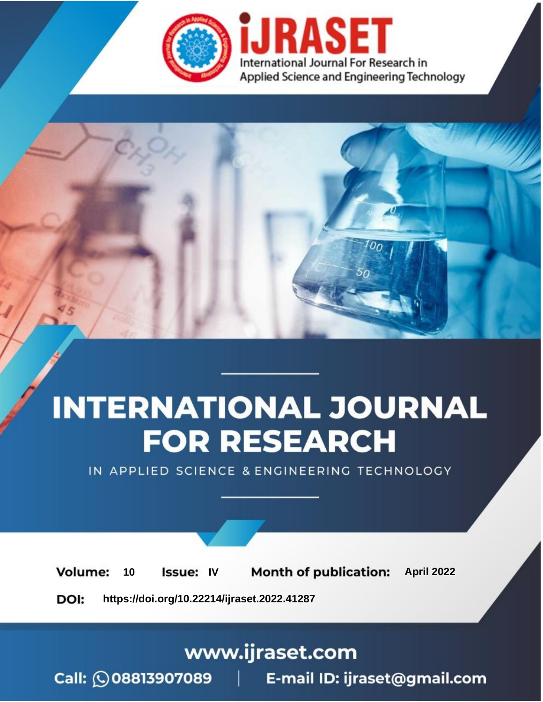

# **INTERNATIONAL JOURNAL FOR RESEARCH**

IN APPLIED SCIENCE & ENGINEERING TECHNOLOGY

10 **Issue: IV Month of publication:** April 2022 **Volume:** 

**https://doi.org/10.22214/ijraset.2022.41287**DOI:

www.ijraset.com

Call: 008813907089 | E-mail ID: ijraset@gmail.com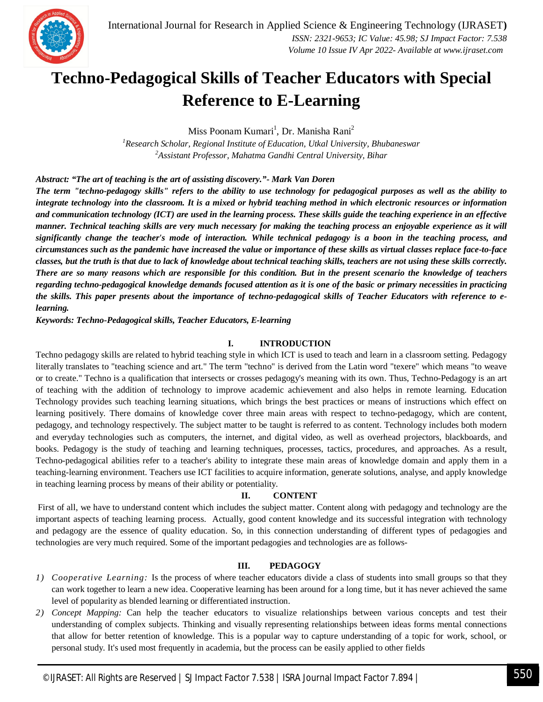

### **Techno-Pedagogical Skills of Teacher Educators with Special Reference to E-Learning**

Miss Poonam Kumari<sup>1</sup>, Dr. Manisha Rani<sup>2</sup>

*<sup>1</sup>Research Scholar, Regional Institute of Education, Utkal University, Bhubaneswar <sup>2</sup>Assistant Professor, Mahatma Gandhi Central University, Bihar*

*Abstract: "The art of teaching is the art of assisting discovery."- Mark Van Doren*

*The term "techno-pedagogy skills" refers to the ability to use technology for pedagogical purposes as well as the ability to integrate technology into the classroom. It is a mixed or hybrid teaching method in which electronic resources or information and communication technology (ICT) are used in the learning process. These skills guide the teaching experience in an effective manner. Technical teaching skills are very much necessary for making the teaching process an enjoyable experience as it will significantly change the teacher's mode of interaction. While technical pedagogy is a boon in the teaching process, and circumstances such as the pandemic have increased the value or importance of these skills as virtual classes replace face-to-face classes, but the truth is that due to lack of knowledge about technical teaching skills, teachers are not using these skills correctly. There are so many reasons which are responsible for this condition. But in the present scenario the knowledge of teachers regarding techno-pedagogical knowledge demands focused attention as it is one of the basic or primary necessities in practicing the skills. This paper presents about the importance of techno-pedagogical skills of Teacher Educators with reference to elearning.*

*Keywords: Techno-Pedagogical skills, Teacher Educators, E-learning*

#### **I. INTRODUCTION**

Techno pedagogy skills are related to hybrid teaching style in which ICT is used to teach and learn in a classroom setting. Pedagogy literally translates to "teaching science and art." The term "techno" is derived from the Latin word "texere" which means "to weave or to create." Techno is a qualification that intersects or crosses pedagogy's meaning with its own. Thus, Techno-Pedagogy is an art of teaching with the addition of technology to improve academic achievement and also helps in remote learning. Education Technology provides such teaching learning situations, which brings the best practices or means of instructions which effect on learning positively. There domains of knowledge cover three main areas with respect to techno-pedagogy, which are content, pedagogy, and technology respectively. The subject matter to be taught is referred to as content. Technology includes both modern and everyday technologies such as computers, the internet, and digital video, as well as overhead projectors, blackboards, and books. Pedagogy is the study of teaching and learning techniques, processes, tactics, procedures, and approaches. As a result, Techno-pedagogical abilities refer to a teacher's ability to integrate these main areas of knowledge domain and apply them in a teaching-learning environment. Teachers use ICT facilities to acquire information, generate solutions, analyse, and apply knowledge in teaching learning process by means of their ability or potentiality.

#### **II. CONTENT**

First of all, we have to understand content which includes the subject matter. Content along with pedagogy and technology are the important aspects of teaching learning process. Actually, good content knowledge and its successful integration with technology and pedagogy are the essence of quality education. So, in this connection understanding of different types of pedagogies and technologies are very much required. Some of the important pedagogies and technologies are as follows-

#### **III. PEDAGOGY**

- *1) Cooperative Learning:* Is the process of where teacher educators divide a class of students into small groups so that they can work together to learn a new idea. Cooperative learning has been around for a long time, but it has never achieved the same level of popularity as blended learning or differentiated instruction.
- *2) Concept Mapping:* Can help the teacher educators to visualize relationships between various concepts and test their understanding of complex subjects. Thinking and visually representing relationships between ideas forms mental connections that allow for better retention of knowledge. This is a popular way to capture understanding of a topic for work, school, or personal study. It's used most frequently in academia, but the process can be easily applied to other fields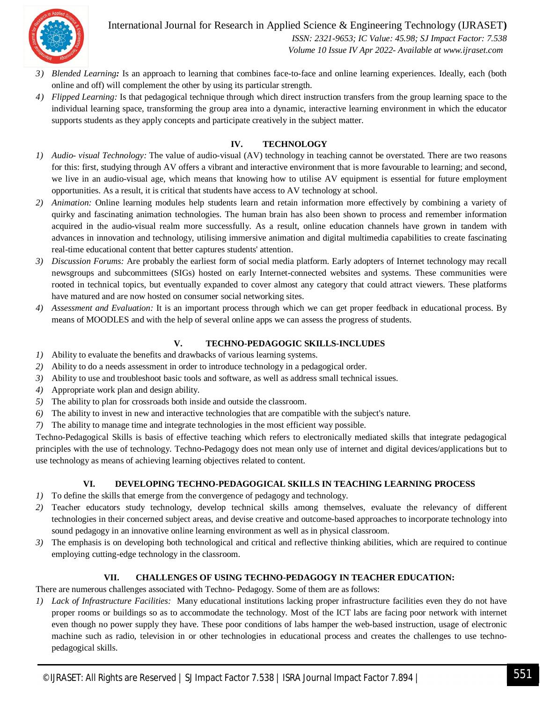

International Journal for Research in Applied Science & Engineering Technology (IJRASET**)**  *ISSN: 2321-9653; IC Value: 45.98; SJ Impact Factor: 7.538*

 *Volume 10 Issue IV Apr 2022- Available at www.ijraset.com*

- *3) Blended Learning:* Is an approach to learning that combines face-to-face and online learning experiences. Ideally, each (both online and off) will complement the other by using its particular strength.
- *4) Flipped Learning:* Is that pedagogical technique through which direct instruction transfers from the group learning space to the individual learning space, transforming the group area into a dynamic, interactive learning environment in which the educator supports students as they apply concepts and participate creatively in the subject matter.

#### **IV. TECHNOLOGY**

- *1) Audio- visual Technology:* The value of audio-visual (AV) technology in teaching cannot be overstated. There are two reasons for this: first, studying through AV offers a vibrant and interactive environment that is more favourable to learning; and second, we live in an audio-visual age, which means that knowing how to utilise AV equipment is essential for future employment opportunities. As a result, it is critical that students have access to AV technology at school.
- *2) Animation:* Online learning modules help students learn and retain information more effectively by combining a variety of quirky and fascinating animation technologies. The human brain has also been shown to process and remember information acquired in the audio-visual realm more successfully. As a result, online education channels have grown in tandem with advances in innovation and technology, utilising immersive animation and digital multimedia capabilities to create fascinating real-time educational content that better captures students' attention.
- *3) Discussion Forums:* Are probably the earliest form of social media platform. Early adopters of Internet technology may recall newsgroups and subcommittees (SIGs) hosted on early Internet-connected websites and systems. These communities were rooted in technical topics, but eventually expanded to cover almost any category that could attract viewers. These platforms have matured and are now hosted on consumer social networking sites.
- *4) Assessment and Evaluation:* It is an important process through which we can get proper feedback in educational process. By means of MOODLES and with the help of several online apps we can assess the progress of students.

#### **V. TECHNO-PEDAGOGIC SKILLS-INCLUDES**

- *1)* Ability to evaluate the benefits and drawbacks of various learning systems.
- *2)* Ability to do a needs assessment in order to introduce technology in a pedagogical order.
- *3)* Ability to use and troubleshoot basic tools and software, as well as address small technical issues.
- *4)* Appropriate work plan and design ability.
- *5)* The ability to plan for crossroads both inside and outside the classroom.
- *6)* The ability to invest in new and interactive technologies that are compatible with the subject's nature.
- *7)* The ability to manage time and integrate technologies in the most efficient way possible.

Techno-Pedagogical Skills is basis of effective teaching which refers to electronically mediated skills that integrate pedagogical principles with the use of technology. Techno-Pedagogy does not mean only use of internet and digital devices/applications but to use technology as means of achieving learning objectives related to content.

#### **VI. DEVELOPING TECHNO-PEDAGOGICAL SKILLS IN TEACHING LEARNING PROCESS**

- *1)* To define the skills that emerge from the convergence of pedagogy and technology.
- *2)* Teacher educators study technology, develop technical skills among themselves, evaluate the relevancy of different technologies in their concerned subject areas, and devise creative and outcome-based approaches to incorporate technology into sound pedagogy in an innovative online learning environment as well as in physical classroom.
- *3)* The emphasis is on developing both technological and critical and reflective thinking abilities, which are required to continue employing cutting-edge technology in the classroom.

#### **VII. CHALLENGES OF USING TECHNO-PEDAGOGY IN TEACHER EDUCATION:**

There are numerous challenges associated with Techno- Pedagogy. Some of them are as follows:

*1) Lack of Infrastructure Facilities:* Many educational institutions lacking proper infrastructure facilities even they do not have proper rooms or buildings so as to accommodate the technology. Most of the ICT labs are facing poor network with internet even though no power supply they have. These poor conditions of labs hamper the web-based instruction, usage of electronic machine such as radio, television in or other technologies in educational process and creates the challenges to use technopedagogical skills.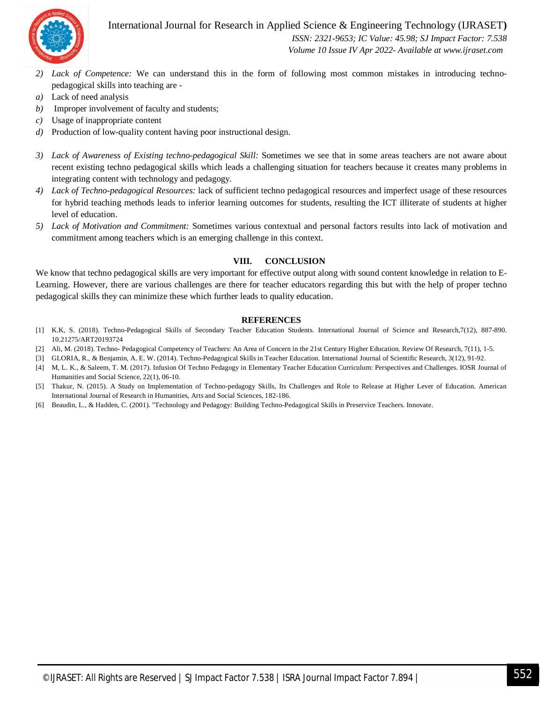

International Journal for Research in Applied Science & Engineering Technology (IJRASET**)**

 *ISSN: 2321-9653; IC Value: 45.98; SJ Impact Factor: 7.538 Volume 10 Issue IV Apr 2022- Available at www.ijraset.com*

- *2) Lack of Competence:* We can understand this in the form of following most common mistakes in introducing technopedagogical skills into teaching are -
- *a)* Lack of need analysis
- *b)* Improper involvement of faculty and students;
- *c)* Usage of inappropriate content
- *d)* Production of low-quality content having poor instructional design.
- *3) Lack of Awareness of Existing techno-pedagogical Skill:* Sometimes we see that in some areas teachers are not aware about recent existing techno pedagogical skills which leads a challenging situation for teachers because it creates many problems in integrating content with technology and pedagogy.
- *4) Lack of Techno-pedagogical Resources:* lack of sufficient techno pedagogical resources and imperfect usage of these resources for hybrid teaching methods leads to inferior learning outcomes for students, resulting the ICT illiterate of students at higher level of education.
- *5) Lack of Motivation and Commitment:* Sometimes various contextual and personal factors results into lack of motivation and commitment among teachers which is an emerging challenge in this context.

#### **VIII. CONCLUSION**

We know that techno pedagogical skills are very important for effective output along with sound content knowledge in relation to E-Learning. However, there are various challenges are there for teacher educators regarding this but with the help of proper techno pedagogical skills they can minimize these which further leads to quality education.

#### **REFERENCES**

- [1] K.K, S. (2018). Techno-Pedagogical Skills of Secondary Teacher Education Students. International Journal of Science and Research,7(12), 887-890. 10.21275/ART20193724
- [2] Ali, M. (2018). Techno- Pedagogical Competency of Teachers: An Area of Concern in the 21st Century Higher Education. Review Of Research, 7(11), 1-5.
- [3] GLORIA, R., & Benjamin, A. E. W. (2014). Techno-Pedagogical Skills in Teacher Education. International Journal of Scientific Research, 3(12), 91-92.
- [4] M, L. K., & Saleem, T. M. (2017). Infusion Of Techno Pedagogy in Elementary Teacher Education Curriculum: Perspectives and Challenges. IOSR Journal of Humanities and Social Science, 22(1), 06-10.
- [5] Thakur, N. (2015). A Study on Implementation of Techno-pedagogy Skills, Its Challenges and Role to Release at Higher Lever of Education. American International Journal of Research in Humanities, Arts and Social Sciences, 182-186.
- [6] Beaudin, L., & Hadden, C. (2001). "Technology and Pedagogy: Building Techno-Pedagogical Skills in Preservice Teachers. Innovate.